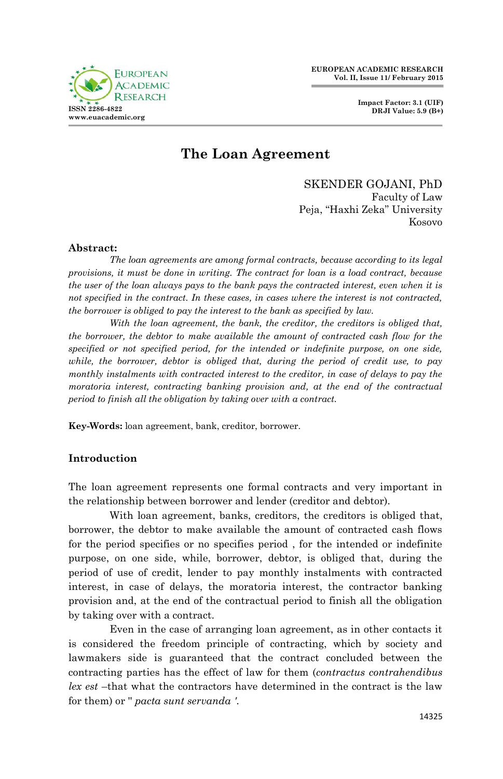



# **The Loan Agreement**

SKENDER GOJANI, PhD Faculty of Law Peja, "Haxhi Zeka" University Kosovo

### **Abstract:**

*The loan agreements are among formal contracts, because according to its legal provisions, it must be done in writing. The contract for loan is a load contract, because the user of the loan always pays to the bank pays the contracted interest, even when it is not specified in the contract. In these cases, in cases where the interest is not contracted, the borrower is obliged to pay the interest to the bank as specified by law.*

*With the loan agreement, the bank, the creditor, the creditors is obliged that, the borrower, the debtor to make available the amount of contracted cash flow for the specified or not specified period, for the intended or indefinite purpose, on one side, while, the borrower, debtor is obliged that, during the period of credit use, to pay monthly instalments with contracted interest to the creditor, in case of delays to pay the moratoria interest, contracting banking provision and, at the end of the contractual period to finish all the obligation by taking over with a contract.*

**Key-Words:** loan agreement, bank, creditor, borrower.

### **Introduction**

The loan agreement represents one formal contracts and very important in the relationship between borrower and lender (creditor and debtor).

With loan agreement, banks, creditors, the creditors is obliged that, borrower, the debtor to make available the amount of contracted cash flows for the period specifies or no specifies period , for the intended or indefinite purpose, on one side, while, borrower, debtor, is obliged that, during the period of use of credit, lender to pay monthly instalments with contracted interest, in case of delays, the moratoria interest, the contractor banking provision and, at the end of the contractual period to finish all the obligation by taking over with a contract.

Even in the case of arranging loan agreement, as in other contacts it is considered the freedom principle of contracting, which by society and lawmakers side is guaranteed that the contract concluded between the contracting parties has the effect of law for them (*contractus contrahendibus lex est* –that what the contractors have determined in the contract is the law for them) or '' *pacta sunt servanda '.*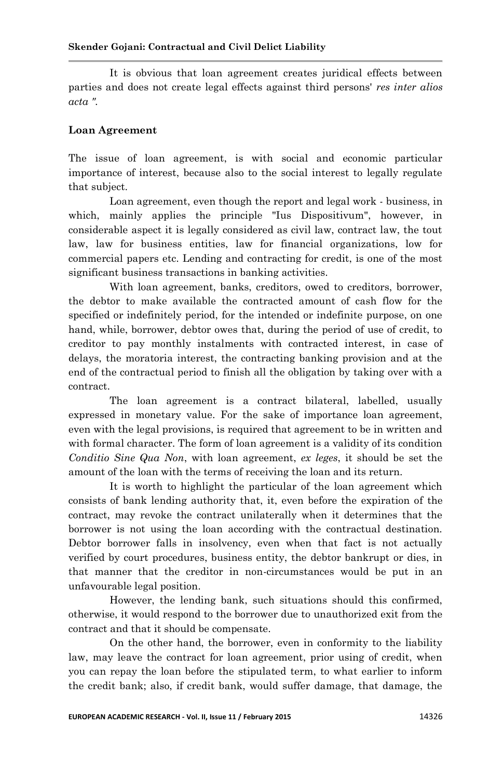It is obvious that loan agreement creates juridical effects between parties and does not create legal effects against third persons' *res inter alios acta ".*

### **Loan Agreement**

The issue of loan agreement, is with social and economic particular importance of interest, because also to the social interest to legally regulate that subject.

Loan agreement, even though the report and legal work - business, in which, mainly applies the principle "Ius Dispositivum", however, in considerable aspect it is legally considered as civil law, contract law, the tout law, law for business entities, law for financial organizations, low for commercial papers etc. Lending and contracting for credit, is one of the most significant business transactions in banking activities.

With loan agreement, banks, creditors, owed to creditors, borrower, the debtor to make available the contracted amount of cash flow for the specified or indefinitely period, for the intended or indefinite purpose, on one hand, while, borrower, debtor owes that, during the period of use of credit, to creditor to pay monthly instalments with contracted interest, in case of delays, the moratoria interest, the contracting banking provision and at the end of the contractual period to finish all the obligation by taking over with a contract.

The loan agreement is a contract bilateral, labelled, usually expressed in monetary value. For the sake of importance loan agreement, even with the legal provisions, is required that agreement to be in written and with formal character. The form of loan agreement is a validity of its condition *Conditio Sine Qua Non*, with loan agreement, *ex leges*, it should be set the amount of the loan with the terms of receiving the loan and its return.

It is worth to highlight the particular of the loan agreement which consists of bank lending authority that, it, even before the expiration of the contract, may revoke the contract unilaterally when it determines that the borrower is not using the loan according with the contractual destination. Debtor borrower falls in insolvency, even when that fact is not actually verified by court procedures, business entity, the debtor bankrupt or dies, in that manner that the creditor in non-circumstances would be put in an unfavourable legal position.

However, the lending bank, such situations should this confirmed, otherwise, it would respond to the borrower due to unauthorized exit from the contract and that it should be compensate.

On the other hand, the borrower, even in conformity to the liability law, may leave the contract for loan agreement, prior using of credit, when you can repay the loan before the stipulated term, to what earlier to inform the credit bank; also, if credit bank, would suffer damage, that damage, the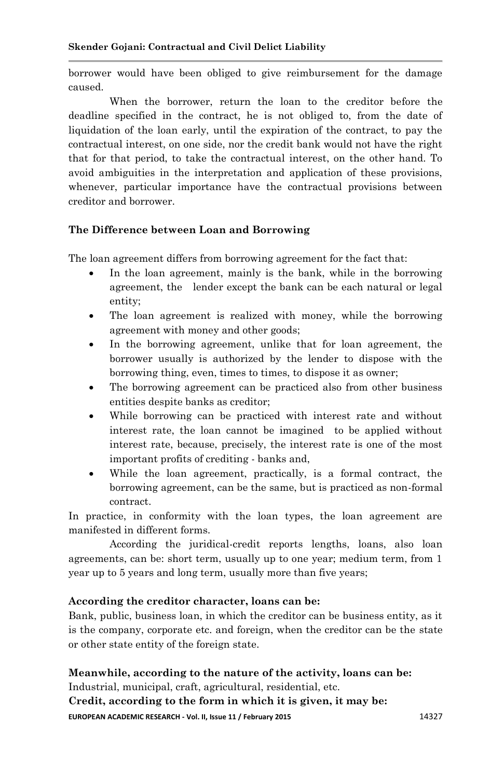borrower would have been obliged to give reimbursement for the damage caused.

When the borrower, return the loan to the creditor before the deadline specified in the contract, he is not obliged to, from the date of liquidation of the loan early, until the expiration of the contract, to pay the contractual interest, on one side, nor the credit bank would not have the right that for that period, to take the contractual interest, on the other hand. To avoid ambiguities in the interpretation and application of these provisions, whenever, particular importance have the contractual provisions between creditor and borrower.

## **The Difference between Loan and Borrowing**

The loan agreement differs from borrowing agreement for the fact that:

- In the loan agreement, mainly is the bank, while in the borrowing agreement, the lender except the bank can be each natural or legal entity;
- The loan agreement is realized with money, while the borrowing agreement with money and other goods;
- In the borrowing agreement, unlike that for loan agreement, the borrower usually is authorized by the lender to dispose with the borrowing thing, even, times to times, to dispose it as owner;
- The borrowing agreement can be practiced also from other business entities despite banks as creditor;
- While borrowing can be practiced with interest rate and without interest rate, the loan cannot be imagined to be applied without interest rate, because, precisely, the interest rate is one of the most important profits of crediting - banks and,
- While the loan agreement, practically, is a formal contract, the borrowing agreement, can be the same, but is practiced as non-formal contract.

In practice, in conformity with the loan types, the loan agreement are manifested in different forms.

According the juridical-credit reports lengths, loans, also loan agreements, can be: short term, usually up to one year; medium term, from 1 year up to 5 years and long term, usually more than five years;

## **According the creditor character, loans can be:**

Bank, public, business loan, in which the creditor can be business entity, as it is the company, corporate etc. and foreign, when the creditor can be the state or other state entity of the foreign state.

# **Meanwhile, according to the nature of the activity, loans can be:**

Industrial, municipal, craft, agricultural, residential, etc.

**EUROPEAN ACADEMIC RESEARCH - Vol. II, Issue 11 / February 2015** 14327 **Credit, according to the form in which it is given, it may be:**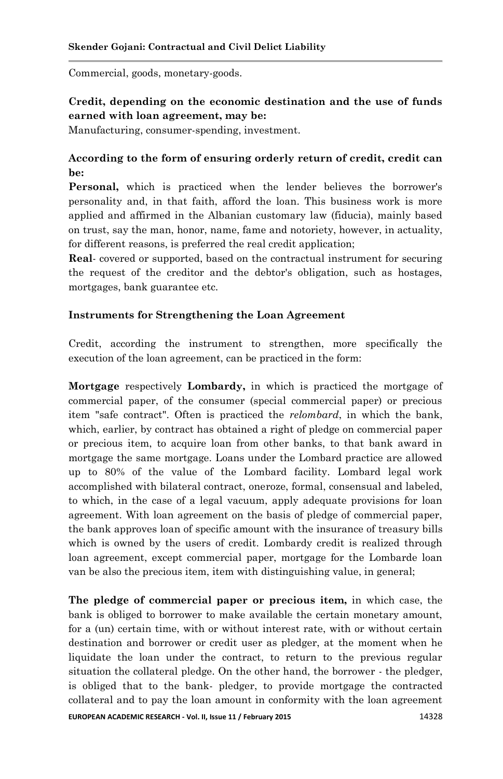Commercial, goods, monetary-goods.

# **Credit, depending on the economic destination and the use of funds earned with loan agreement, may be:**

Manufacturing, consumer-spending, investment.

# **According to the form of ensuring orderly return of credit, credit can be:**

**Personal,** which is practiced when the lender believes the borrower's personality and, in that faith, afford the loan. This business work is more applied and affirmed in the Albanian customary law (fiducia), mainly based on trust, say the man, honor, name, fame and notoriety, however, in actuality, for different reasons, is preferred the real credit application;

**Real**- covered or supported, based on the contractual instrument for securing the request of the creditor and the debtor's obligation, such as hostages, mortgages, bank guarantee etc.

### **Instruments for Strengthening the Loan Agreement**

Credit, according the instrument to strengthen, more specifically the execution of the loan agreement, can be practiced in the form:

**Mortgage** respectively **Lombardy,** in which is practiced the mortgage of commercial paper, of the consumer (special commercial paper) or precious item "safe contract". Often is practiced the *relombard*, in which the bank, which, earlier, by contract has obtained a right of pledge on commercial paper or precious item, to acquire loan from other banks, to that bank award in mortgage the same mortgage. Loans under the Lombard practice are allowed up to 80% of the value of the Lombard facility. Lombard legal work accomplished with bilateral contract, oneroze, formal, consensual and labeled, to which, in the case of a legal vacuum, apply adequate provisions for loan agreement. With loan agreement on the basis of pledge of commercial paper, the bank approves loan of specific amount with the insurance of treasury bills which is owned by the users of credit. Lombardy credit is realized through loan agreement, except commercial paper, mortgage for the Lombarde loan van be also the precious item, item with distinguishing value, in general;

**EUROPEAN ACADEMIC RESEARCH - Vol. II, Issue 11 / February 2015** 14328 **The pledge of commercial paper or precious item,** in which case, the bank is obliged to borrower to make available the certain monetary amount, for a (un) certain time, with or without interest rate, with or without certain destination and borrower or credit user as pledger, at the moment when he liquidate the loan under the contract, to return to the previous regular situation the collateral pledge. On the other hand, the borrower - the pledger, is obliged that to the bank- pledger, to provide mortgage the contracted collateral and to pay the loan amount in conformity with the loan agreement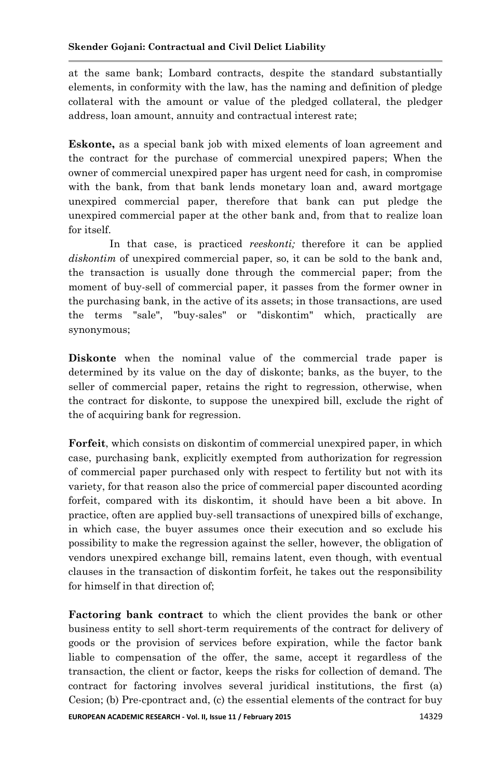at the same bank; Lombard contracts, despite the standard substantially elements, in conformity with the law, has the naming and definition of pledge collateral with the amount or value of the pledged collateral, the pledger address, loan amount, annuity and contractual interest rate;

**Eskonte,** as a special bank job with mixed elements of loan agreement and the contract for the purchase of commercial unexpired papers; When the owner of commercial unexpired paper has urgent need for cash, in compromise with the bank, from that bank lends monetary loan and, award mortgage unexpired commercial paper, therefore that bank can put pledge the unexpired commercial paper at the other bank and, from that to realize loan for itself.

In that case, is practiced *reeskonti;* therefore it can be applied *diskontim* of unexpired commercial paper, so, it can be sold to the bank and, the transaction is usually done through the commercial paper; from the moment of buy-sell of commercial paper, it passes from the former owner in the purchasing bank, in the active of its assets; in those transactions, are used the terms "sale", "buy-sales" or "diskontim" which, practically are synonymous;

**Diskonte** when the nominal value of the commercial trade paper is determined by its value on the day of diskonte; banks, as the buyer, to the seller of commercial paper, retains the right to regression, otherwise, when the contract for diskonte, to suppose the unexpired bill, exclude the right of the of acquiring bank for regression.

**Forfeit**, which consists on diskontim of commercial unexpired paper, in which case, purchasing bank, explicitly exempted from authorization for regression of commercial paper purchased only with respect to fertility but not with its variety, for that reason also the price of commercial paper discounted acording forfeit, compared with its diskontim, it should have been a bit above. In practice, often are applied buy-sell transactions of unexpired bills of exchange, in which case, the buyer assumes once their execution and so exclude his possibility to make the regression against the seller, however, the obligation of vendors unexpired exchange bill, remains latent, even though, with eventual clauses in the transaction of diskontim forfeit, he takes out the responsibility for himself in that direction of;

**EUROPEAN ACADEMIC RESEARCH - Vol. II, Issue 11 / February 2015** 14329 **Factoring bank contract** to which the client provides the bank or other business entity to sell short-term requirements of the contract for delivery of goods or the provision of services before expiration, while the factor bank liable to compensation of the offer, the same, accept it regardless of the transaction, the client or factor, keeps the risks for collection of demand. The contract for factoring involves several juridical institutions, the first (a) Cesion; (b) Pre-cpontract and, (c) the essential elements of the contract for buy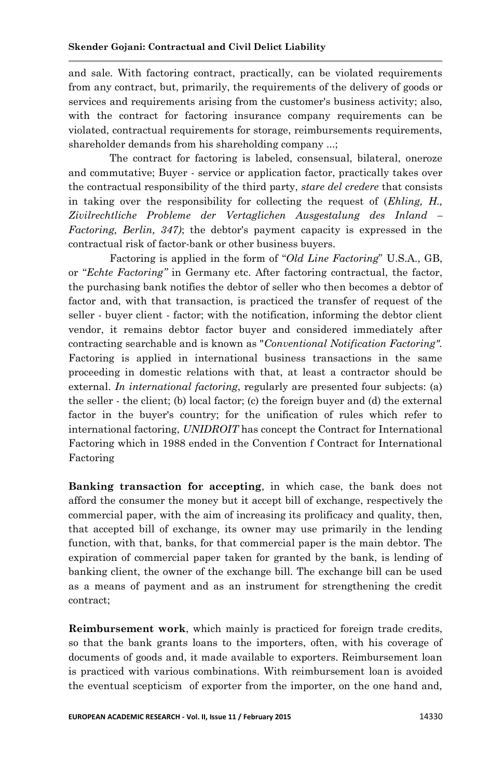and sale. With factoring contract, practically, can be violated requirements from any contract, but, primarily, the requirements of the delivery of goods or services and requirements arising from the customer's business activity; also, with the contract for factoring insurance company requirements can be violated, contractual requirements for storage, reimbursements requirements, shareholder demands from his shareholding company ...;

The contract for factoring is labeled, consensual, bilateral, oneroze and commutative; Buyer - service or application factor, practically takes over the contractual responsibility of the third party, *stare del credere* that consists in taking over the responsibility for collecting the request of (*Ehling, H., Zivilrechtliche Probleme der Vertaglichen Ausgestalung des Inland – Factoring, Berlin, 347)*; the debtor's payment capacity is expressed in the contractual risk of factor-bank or other business buyers.

Factoring is applied in the form of "*Old Line Factoring*" U.S.A., GB, or "*Echte Factoring"* in Germany etc. After factoring contractual, the factor, the purchasing bank notifies the debtor of seller who then becomes a debtor of factor and, with that transaction, is practiced the transfer of request of the seller - buyer client - factor; with the notification, informing the debtor client vendor, it remains debtor factor buyer and considered immediately after contracting searchable and is known as "*Conventional Notification Factoring".* Factoring is applied in international business transactions in the same proceeding in domestic relations with that, at least a contractor should be external. *In international factoring*, regularly are presented four subjects: (a) the seller - the client; (b) local factor; (c) the foreign buyer and (d) the external factor in the buyer's country; for the unification of rules which refer to international factoring, *UNIDROIT* has concept the Contract for International Factoring which in 1988 ended in the Convention f Contract for International Factoring

**Banking transaction for accepting**, in which case, the bank does not afford the consumer the money but it accept bill of exchange, respectively the commercial paper, with the aim of increasing its prolificacy and quality, then, that accepted bill of exchange, its owner may use primarily in the lending function, with that, banks, for that commercial paper is the main debtor. The expiration of commercial paper taken for granted by the bank, is lending of banking client, the owner of the exchange bill. The exchange bill can be used as a means of payment and as an instrument for strengthening the credit contract;

**Reimbursement work**, which mainly is practiced for foreign trade credits, so that the bank grants loans to the importers, often, with his coverage of documents of goods and, it made available to exporters. Reimbursement loan is practiced with various combinations. With reimbursement loan is avoided the eventual scepticism of exporter from the importer, on the one hand and,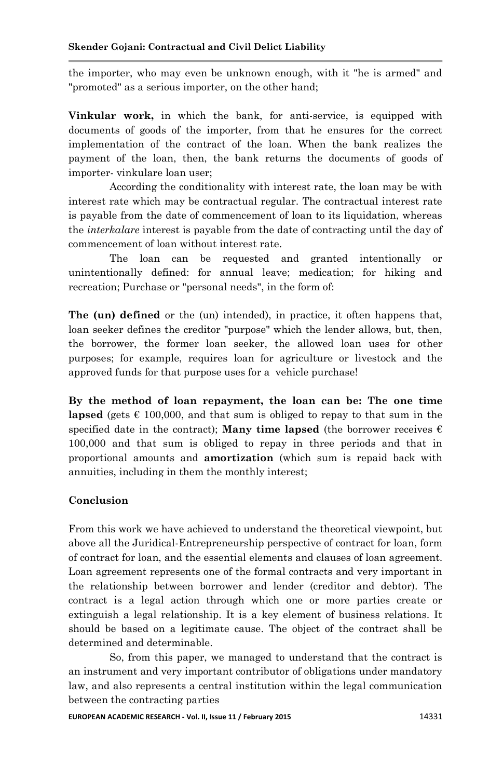the importer, who may even be unknown enough, with it "he is armed" and "promoted" as a serious importer, on the other hand;

**Vinkular work,** in which the bank, for anti-service, is equipped with documents of goods of the importer, from that he ensures for the correct implementation of the contract of the loan. When the bank realizes the payment of the loan, then, the bank returns the documents of goods of importer- vinkulare loan user;

According the conditionality with interest rate, the loan may be with interest rate which may be contractual regular. The contractual interest rate is payable from the date of commencement of loan to its liquidation, whereas the *interkalare* interest is payable from the date of contracting until the day of commencement of loan without interest rate.

The loan can be requested and granted intentionally or unintentionally defined: for annual leave; medication; for hiking and recreation; Purchase or "personal needs", in the form of:

**The (un) defined** or the (un) intended), in practice, it often happens that, loan seeker defines the creditor "purpose" which the lender allows, but, then, the borrower, the former loan seeker, the allowed loan uses for other purposes; for example, requires loan for agriculture or livestock and the approved funds for that purpose uses for a vehicle purchase!

**By the method of loan repayment, the loan can be: The one time lapsed** (gets  $\epsilon$  100,000, and that sum is obliged to repay to that sum in the specified date in the contract); **Many time lapsed** (the borrower receives  $\epsilon$ 100,000 and that sum is obliged to repay in three periods and that in proportional amounts and **amortization** (which sum is repaid back with annuities, including in them the monthly interest;

## **Conclusion**

From this work we have achieved to understand the theoretical viewpoint, but above all the Juridical-Entrepreneurship perspective of contract for loan, form of contract for loan, and the essential elements and clauses of loan agreement. Loan agreement represents one of the formal contracts and very important in the relationship between borrower and lender (creditor and debtor). The contract is a legal action through which one or more parties create or extinguish a legal relationship. It is a key element of business relations. It should be based on a legitimate cause. The object of the contract shall be determined and determinable.

So, from this paper, we managed to understand that the contract is an instrument and very important contributor of obligations under mandatory law, and also represents a central institution within the legal communication between the contracting parties